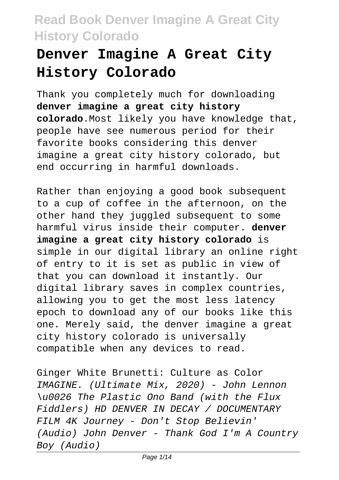# **Denver Imagine A Great City History Colorado**

Thank you completely much for downloading **denver imagine a great city history colorado**.Most likely you have knowledge that, people have see numerous period for their favorite books considering this denver imagine a great city history colorado, but end occurring in harmful downloads.

Rather than enjoying a good book subsequent to a cup of coffee in the afternoon, on the other hand they juggled subsequent to some harmful virus inside their computer. **denver imagine a great city history colorado** is simple in our digital library an online right of entry to it is set as public in view of that you can download it instantly. Our digital library saves in complex countries, allowing you to get the most less latency epoch to download any of our books like this one. Merely said, the denver imagine a great city history colorado is universally compatible when any devices to read.

Ginger White Brunetti: Culture as Color IMAGINE. (Ultimate Mix, 2020) - John Lennon \u0026 The Plastic Ono Band (with the Flux Fiddlers) HD DENVER IN DECAY / DOCUMENTARY FILM 4K Journey - Don't Stop Believin' (Audio) John Denver - Thank God I'm A Country Boy (Audio)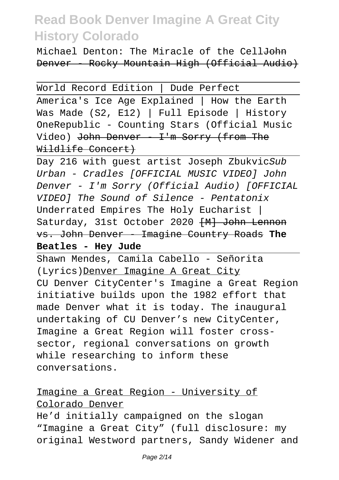Michael Denton: The Miracle of the Cell<del>John</del> Denver - Rocky Mountain High (Official Audio)

World Record Edition | Dude Perfect

America's Ice Age Explained | How the Earth Was Made (S2, E12) | Full Episode | History OneRepublic - Counting Stars (Official Music Video) John Denver - I'm Sorry (from The Wildlife Concert)

Day 216 with guest artist Joseph ZbukvicSub Urban - Cradles [OFFICIAL MUSIC VIDEO] John Denver - I'm Sorry (Official Audio) [OFFICIAL VIDEO] The Sound of Silence - Pentatonix Underrated Empires The Holy Eucharist | Saturday, 31st October 2020 [M] John Lennon vs. John Denver - Imagine Country Roads **The Beatles - Hey Jude**

Shawn Mendes, Camila Cabello - Señorita (Lyrics)Denver Imagine A Great City CU Denver CityCenter's Imagine a Great Region initiative builds upon the 1982 effort that made Denver what it is today. The inaugural undertaking of CU Denver's new CityCenter, Imagine a Great Region will foster crosssector, regional conversations on growth while researching to inform these conversations.

### Imagine a Great Region - University of Colorado Denver

He'd initially campaigned on the slogan "Imagine a Great City" (full disclosure: my original Westword partners, Sandy Widener and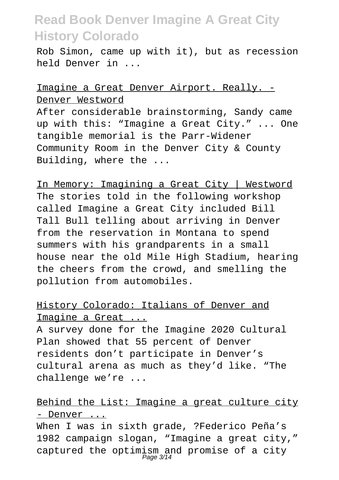Rob Simon, came up with it), but as recession held Denver in ...

#### Imagine a Great Denver Airport. Really. - Denver Westword

After considerable brainstorming, Sandy came up with this: "Imagine a Great City." ... One tangible memorial is the Parr-Widener Community Room in the Denver City & County Building, where the ...

In Memory: Imagining a Great City | Westword The stories told in the following workshop called Imagine a Great City included Bill Tall Bull telling about arriving in Denver from the reservation in Montana to spend summers with his grandparents in a small house near the old Mile High Stadium, hearing the cheers from the crowd, and smelling the pollution from automobiles.

#### History Colorado: Italians of Denver and Imagine a Great ...

A survey done for the Imagine 2020 Cultural Plan showed that 55 percent of Denver residents don't participate in Denver's cultural arena as much as they'd like. "The challenge we're ...

#### Behind the List: Imagine a great culture city - Denver ...

When I was in sixth grade, ?Federico Peña's 1982 campaign slogan, "Imagine a great city," captured the optimism and promise of a city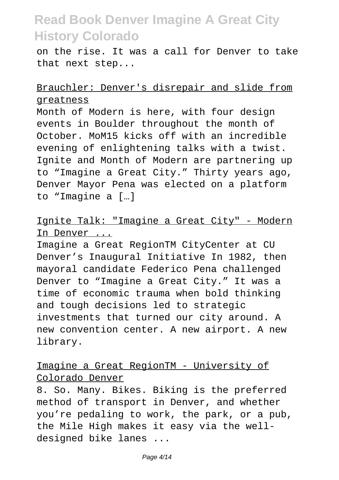on the rise. It was a call for Denver to take that next step...

#### Brauchler: Denver's disrepair and slide from greatness

Month of Modern is here, with four design events in Boulder throughout the month of October. MoM15 kicks off with an incredible evening of enlightening talks with a twist. Ignite and Month of Modern are partnering up to "Imagine a Great City." Thirty years ago, Denver Mayor Pena was elected on a platform to "Imagine a […]

Ignite Talk: "Imagine a Great City" - Modern In Denver ...

Imagine a Great RegionTM CityCenter at CU Denver's Inaugural Initiative In 1982, then mayoral candidate Federico Pena challenged Denver to "Imagine a Great City." It was a time of economic trauma when bold thinking and tough decisions led to strategic investments that turned our city around. A new convention center. A new airport. A new library.

#### Imagine a Great RegionTM - University of Colorado Denver

8. So. Many. Bikes. Biking is the preferred method of transport in Denver, and whether you're pedaling to work, the park, or a pub, the Mile High makes it easy via the welldesigned bike lanes ...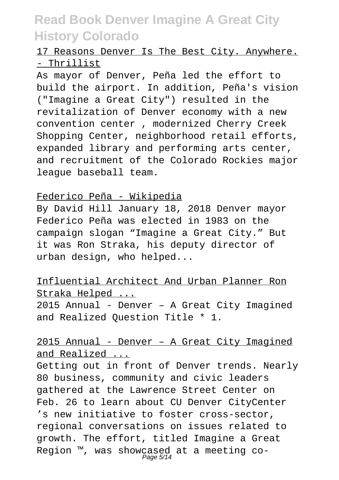### 17 Reasons Denver Is The Best City. Anywhere. - Thrillist

As mayor of Denver, Peña led the effort to build the airport. In addition, Peña's vision ("Imagine a Great City") resulted in the revitalization of Denver economy with a new convention center , modernized Cherry Creek Shopping Center, neighborhood retail efforts, expanded library and performing arts center, and recruitment of the Colorado Rockies major league baseball team.

#### Federico Peña - Wikipedia

By David Hill January 18, 2018 Denver mayor Federico Peña was elected in 1983 on the campaign slogan "Imagine a Great City." But it was Ron Straka, his deputy director of urban design, who helped...

#### Influential Architect And Urban Planner Ron Straka Helped ...

2015 Annual - Denver – A Great City Imagined and Realized Question Title \* 1.

### 2015 Annual - Denver – A Great City Imagined and Realized ...

Getting out in front of Denver trends. Nearly 80 business, community and civic leaders gathered at the Lawrence Street Center on Feb. 26 to learn about CU Denver CityCenter 's new initiative to foster cross-sector, regional conversations on issues related to growth. The effort, titled Imagine a Great Region ™, was showcased at a meeting co-<br>Page 5/14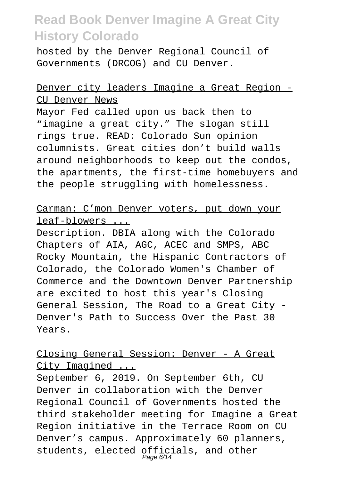hosted by the Denver Regional Council of Governments (DRCOG) and CU Denver.

#### Denver city leaders Imagine a Great Region - CU Denver News

Mayor Fed called upon us back then to "imagine a great city." The slogan still rings true. READ: Colorado Sun opinion columnists. Great cities don't build walls around neighborhoods to keep out the condos, the apartments, the first-time homebuyers and the people struggling with homelessness.

#### Carman: C'mon Denver voters, put down your leaf-blowers ...

Description. DBIA along with the Colorado Chapters of AIA, AGC, ACEC and SMPS, ABC Rocky Mountain, the Hispanic Contractors of Colorado, the Colorado Women's Chamber of Commerce and the Downtown Denver Partnership are excited to host this year's Closing General Session, The Road to a Great City - Denver's Path to Success Over the Past 30 Years.

### Closing General Session: Denver - A Great City Imagined ...

September 6, 2019. On September 6th, CU Denver in collaboration with the Denver Regional Council of Governments hosted the third stakeholder meeting for Imagine a Great Region initiative in the Terrace Room on CU Denver's campus. Approximately 60 planners, students, elected officials, and other Page 6/14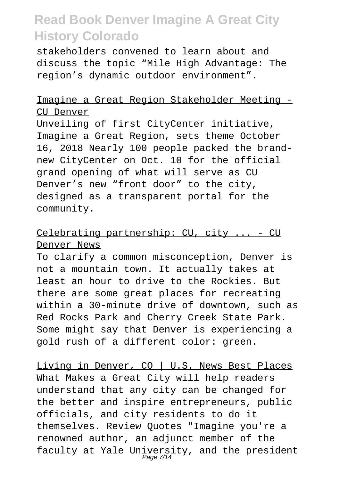stakeholders convened to learn about and discuss the topic "Mile High Advantage: The region's dynamic outdoor environment".

#### Imagine a Great Region Stakeholder Meeting - CU Denver

Unveiling of first CityCenter initiative, Imagine a Great Region, sets theme October 16, 2018 Nearly 100 people packed the brandnew CityCenter on Oct. 10 for the official grand opening of what will serve as CU Denver's new "front door" to the city, designed as a transparent portal for the community.

#### Celebrating partnership: CU, city ... - CU Denver News

To clarify a common misconception, Denver is not a mountain town. It actually takes at least an hour to drive to the Rockies. But there are some great places for recreating within a 30-minute drive of downtown, such as Red Rocks Park and Cherry Creek State Park. Some might say that Denver is experiencing a gold rush of a different color: green.

Living in Denver, CO | U.S. News Best Places What Makes a Great City will help readers understand that any city can be changed for the better and inspire entrepreneurs, public officials, and city residents to do it themselves. Review Quotes "Imagine you're a renowned author, an adjunct member of the faculty at Yale University, and the president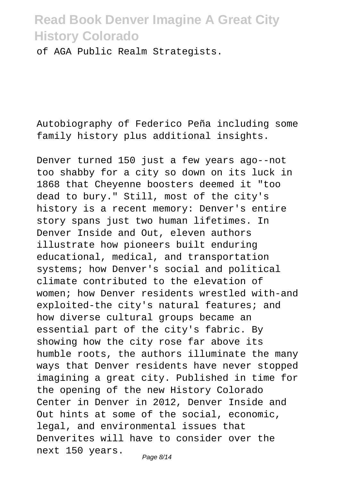of AGA Public Realm Strategists.

Autobiography of Federico Peña including some family history plus additional insights.

Denver turned 150 just a few years ago--not too shabby for a city so down on its luck in 1868 that Cheyenne boosters deemed it "too dead to bury." Still, most of the city's history is a recent memory: Denver's entire story spans just two human lifetimes. In Denver Inside and Out, eleven authors illustrate how pioneers built enduring educational, medical, and transportation systems; how Denver's social and political climate contributed to the elevation of women; how Denver residents wrestled with-and exploited-the city's natural features; and how diverse cultural groups became an essential part of the city's fabric. By showing how the city rose far above its humble roots, the authors illuminate the many ways that Denver residents have never stopped imagining a great city. Published in time for the opening of the new History Colorado Center in Denver in 2012, Denver Inside and Out hints at some of the social, economic, legal, and environmental issues that Denverites will have to consider over the next 150 years. Page 8/14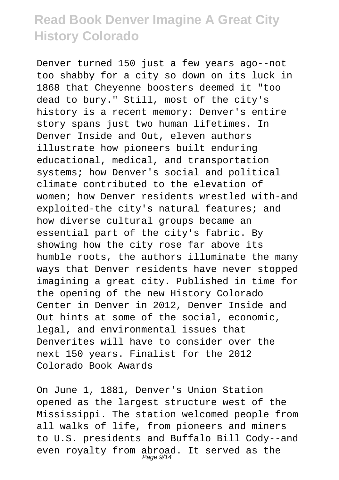Denver turned 150 just a few years ago--not too shabby for a city so down on its luck in 1868 that Cheyenne boosters deemed it "too dead to bury." Still, most of the city's history is a recent memory: Denver's entire story spans just two human lifetimes. In Denver Inside and Out, eleven authors illustrate how pioneers built enduring educational, medical, and transportation systems; how Denver's social and political climate contributed to the elevation of women; how Denver residents wrestled with-and exploited-the city's natural features; and how diverse cultural groups became an essential part of the city's fabric. By showing how the city rose far above its humble roots, the authors illuminate the many ways that Denver residents have never stopped imagining a great city. Published in time for the opening of the new History Colorado Center in Denver in 2012, Denver Inside and Out hints at some of the social, economic, legal, and environmental issues that Denverites will have to consider over the next 150 years. Finalist for the 2012 Colorado Book Awards

On June 1, 1881, Denver's Union Station opened as the largest structure west of the Mississippi. The station welcomed people from all walks of life, from pioneers and miners to U.S. presidents and Buffalo Bill Cody--and even royalty from abroad. It served as the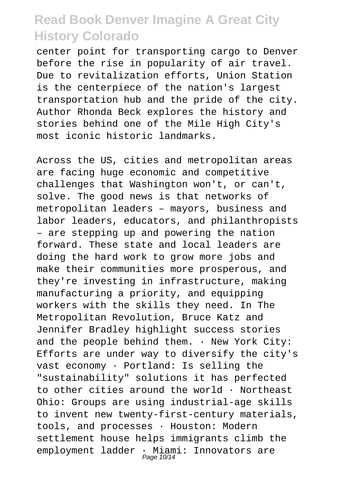center point for transporting cargo to Denver before the rise in popularity of air travel. Due to revitalization efforts, Union Station is the centerpiece of the nation's largest transportation hub and the pride of the city. Author Rhonda Beck explores the history and stories behind one of the Mile High City's most iconic historic landmarks.

Across the US, cities and metropolitan areas are facing huge economic and competitive challenges that Washington won't, or can't, solve. The good news is that networks of metropolitan leaders – mayors, business and labor leaders, educators, and philanthropists – are stepping up and powering the nation forward. These state and local leaders are doing the hard work to grow more jobs and make their communities more prosperous, and they're investing in infrastructure, making manufacturing a priority, and equipping workers with the skills they need. In The Metropolitan Revolution, Bruce Katz and Jennifer Bradley highlight success stories and the people behind them. . New York City: Efforts are under way to diversify the city's vast economy · Portland: Is selling the "sustainability" solutions it has perfected to other cities around the world  $\cdot$  Northeast Ohio: Groups are using industrial-age skills to invent new twenty-first-century materials, tools, and processes · Houston: Modern settlement house helps immigrants climb the employment ladder · Miami: Innovators are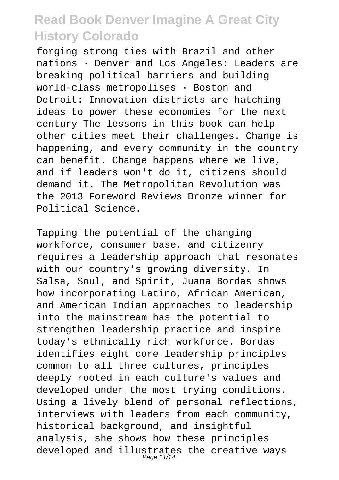forging strong ties with Brazil and other nations · Denver and Los Angeles: Leaders are breaking political barriers and building world-class metropolises · Boston and Detroit: Innovation districts are hatching ideas to power these economies for the next century The lessons in this book can help other cities meet their challenges. Change is happening, and every community in the country can benefit. Change happens where we live, and if leaders won't do it, citizens should demand it. The Metropolitan Revolution was the 2013 Foreword Reviews Bronze winner for Political Science.

Tapping the potential of the changing workforce, consumer base, and citizenry requires a leadership approach that resonates with our country's growing diversity. In Salsa, Soul, and Spirit, Juana Bordas shows how incorporating Latino, African American, and American Indian approaches to leadership into the mainstream has the potential to strengthen leadership practice and inspire today's ethnically rich workforce. Bordas identifies eight core leadership principles common to all three cultures, principles deeply rooted in each culture's values and developed under the most trying conditions. Using a lively blend of personal reflections, interviews with leaders from each community, historical background, and insightful analysis, she shows how these principles developed and illustrates the creative ways Page 11/14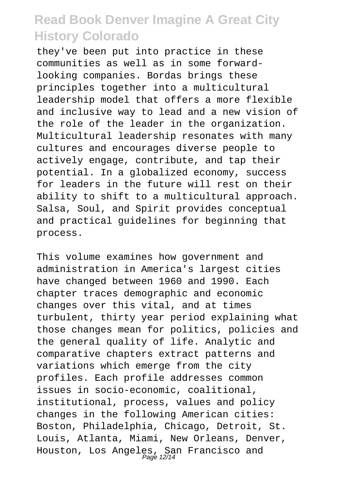they've been put into practice in these communities as well as in some forwardlooking companies. Bordas brings these principles together into a multicultural leadership model that offers a more flexible and inclusive way to lead and a new vision of the role of the leader in the organization. Multicultural leadership resonates with many cultures and encourages diverse people to actively engage, contribute, and tap their potential. In a globalized economy, success for leaders in the future will rest on their ability to shift to a multicultural approach. Salsa, Soul, and Spirit provides conceptual and practical guidelines for beginning that process.

This volume examines how government and administration in America's largest cities have changed between 1960 and 1990. Each chapter traces demographic and economic changes over this vital, and at times turbulent, thirty year period explaining what those changes mean for politics, policies and the general quality of life. Analytic and comparative chapters extract patterns and variations which emerge from the city profiles. Each profile addresses common issues in socio-economic, coalitional, institutional, process, values and policy changes in the following American cities: Boston, Philadelphia, Chicago, Detroit, St. Louis, Atlanta, Miami, New Orleans, Denver, Houston, Los Angeles, San Francisco and Page 12/14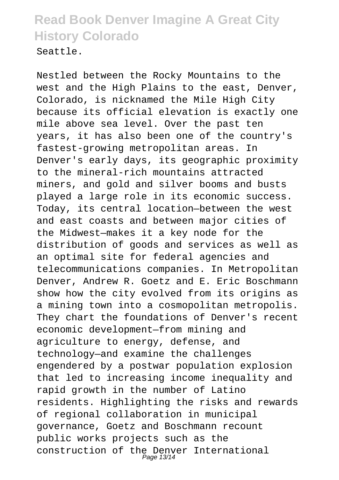Seattle.

Nestled between the Rocky Mountains to the west and the High Plains to the east, Denver, Colorado, is nicknamed the Mile High City because its official elevation is exactly one mile above sea level. Over the past ten years, it has also been one of the country's fastest-growing metropolitan areas. In Denver's early days, its geographic proximity to the mineral-rich mountains attracted miners, and gold and silver booms and busts played a large role in its economic success. Today, its central location—between the west and east coasts and between major cities of the Midwest—makes it a key node for the distribution of goods and services as well as an optimal site for federal agencies and telecommunications companies. In Metropolitan Denver, Andrew R. Goetz and E. Eric Boschmann show how the city evolved from its origins as a mining town into a cosmopolitan metropolis. They chart the foundations of Denver's recent economic development—from mining and agriculture to energy, defense, and technology—and examine the challenges engendered by a postwar population explosion that led to increasing income inequality and rapid growth in the number of Latino residents. Highlighting the risks and rewards of regional collaboration in municipal governance, Goetz and Boschmann recount public works projects such as the construction of the Denver International Page 13/14